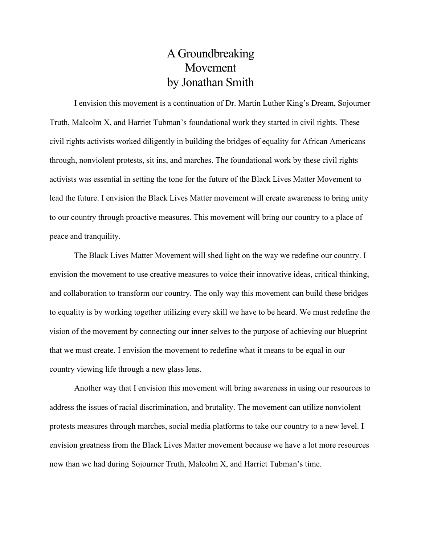## A Groundbreaking Movement by Jonathan Smith

I envision this movement is a continuation of Dr. Martin Luther King's Dream, Sojourner Truth, Malcolm X, and Harriet Tubman's foundational work they started in civil rights. These civil rights activists worked diligently in building the bridges of equality for African Americans through, nonviolent protests, sit ins, and marches. The foundational work by these civil rights activists was essential in setting the tone for the future of the Black Lives Matter Movement to lead the future. I envision the Black Lives Matter movement will create awareness to bring unity to our country through proactive measures. This movement will bring our country to a place of peace and tranquility.

The Black Lives Matter Movement will shed light on the way we redefine our country. I envision the movement to use creative measures to voice their innovative ideas, critical thinking, and collaboration to transform our country. The only way this movement can build these bridges to equality is by working together utilizing every skill we have to be heard. We must redefine the vision of the movement by connecting our inner selves to the purpose of achieving our blueprint that we must create. I envision the movement to redefine what it means to be equal in our country viewing life through a new glass lens.

Another way that I envision this movement will bring awareness in using our resources to address the issues of racial discrimination, and brutality. The movement can utilize nonviolent protests measures through marches, social media platforms to take our country to a new level. I envision greatness from the Black Lives Matter movement because we have a lot more resources now than we had during Sojourner Truth, Malcolm X, and Harriet Tubman's time.